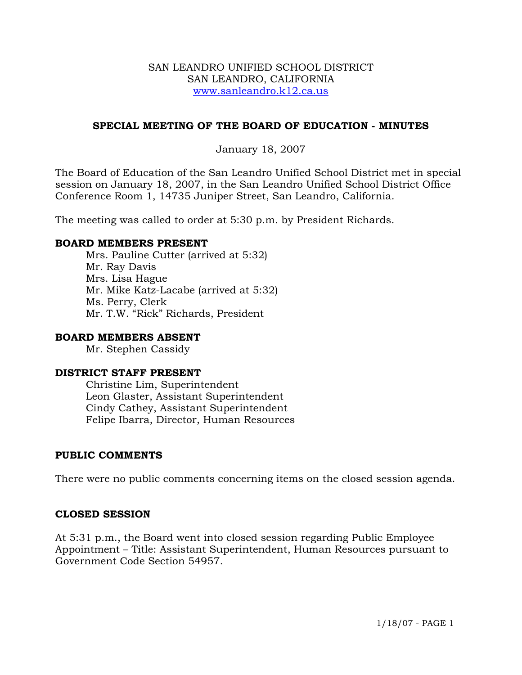## SAN LEANDRO UNIFIED SCHOOL DISTRICT SAN LEANDRO, CALIFORNIA www.sanleandro.k12.ca.us

# **SPECIAL MEETING OF THE BOARD OF EDUCATION - MINUTES**

# January 18, 2007

The Board of Education of the San Leandro Unified School District met in special session on January 18, 2007, in the San Leandro Unified School District Office Conference Room 1, 14735 Juniper Street, San Leandro, California.

The meeting was called to order at 5:30 p.m. by President Richards.

## **BOARD MEMBERS PRESENT**

Mrs. Pauline Cutter (arrived at 5:32) Mr. Ray Davis Mrs. Lisa Hague Mr. Mike Katz-Lacabe (arrived at 5:32) Ms. Perry, Clerk Mr. T.W. "Rick" Richards, President

### **BOARD MEMBERS ABSENT**

Mr. Stephen Cassidy

## **DISTRICT STAFF PRESENT**

Christine Lim, Superintendent Leon Glaster, Assistant Superintendent Cindy Cathey, Assistant Superintendent Felipe Ibarra, Director, Human Resources

## **PUBLIC COMMENTS**

There were no public comments concerning items on the closed session agenda.

#### **CLOSED SESSION**

At 5:31 p.m., the Board went into closed session regarding Public Employee Appointment – Title: Assistant Superintendent, Human Resources pursuant to Government Code Section 54957.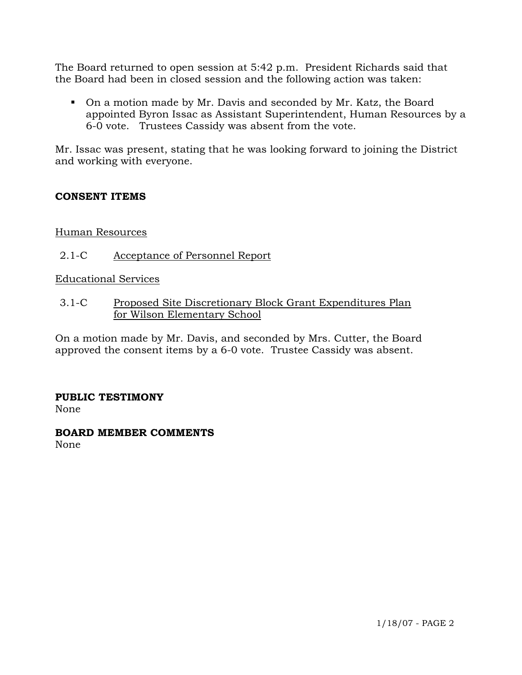The Board returned to open session at 5:42 p.m. President Richards said that the Board had been in closed session and the following action was taken:

 On a motion made by Mr. Davis and seconded by Mr. Katz, the Board appointed Byron Issac as Assistant Superintendent, Human Resources by a 6-0 vote. Trustees Cassidy was absent from the vote.

Mr. Issac was present, stating that he was looking forward to joining the District and working with everyone.

# **CONSENT ITEMS**

# Human Resources

2.1-C Acceptance of Personnel Report

Educational Services

3.1-C Proposed Site Discretionary Block Grant Expenditures Plan for Wilson Elementary School

On a motion made by Mr. Davis, and seconded by Mrs. Cutter, the Board approved the consent items by a 6-0 vote. Trustee Cassidy was absent.

# **PUBLIC TESTIMONY**

None

#### **BOARD MEMBER COMMENTS** None